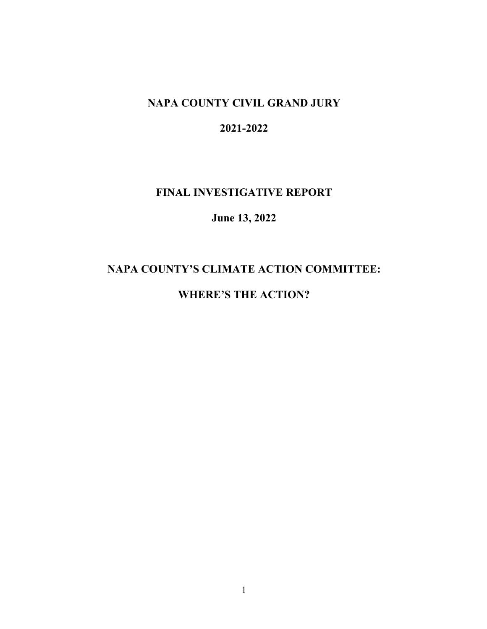## **NAPA COUNTY CIVIL GRAND JURY**

## **2021-2022**

#### **FINAL INVESTIGATIVE REPORT**

#### **June 13, 2022**

## **NAPA COUNTY'S CLIMATE ACTION COMMITTEE:**

## **WHERE'S THE ACTION?**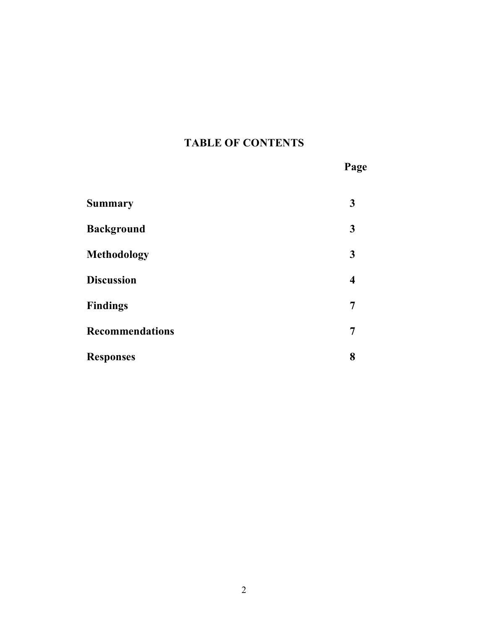# **TABLE OF CONTENTS**

**Page**

| <b>Summary</b>         | 3 |
|------------------------|---|
| <b>Background</b>      | 3 |
| <b>Methodology</b>     | 3 |
| <b>Discussion</b>      | 4 |
| <b>Findings</b>        | 7 |
| <b>Recommendations</b> | 7 |
| <b>Responses</b>       | 8 |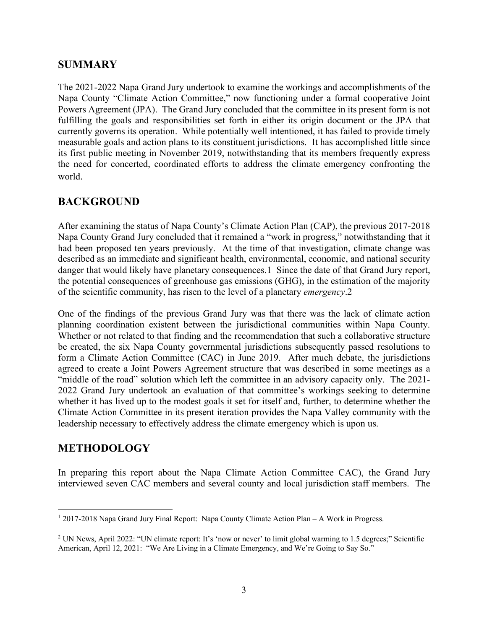### **SUMMARY**

The 2021-2022 Napa Grand Jury undertook to examine the workings and accomplishments of the Napa County "Climate Action Committee," now functioning under a formal cooperative Joint Powers Agreement (JPA). The Grand Jury concluded that the committee in its present form is not fulfilling the goals and responsibilities set forth in either its origin document or the JPA that currently governs its operation. While potentially well intentioned, it has failed to provide timely measurable goals and action plans to its constituent jurisdictions. It has accomplished little since its first public meeting in November 2019, notwithstanding that its members frequently express the need for concerted, coordinated efforts to address the climate emergency confronting the world.

#### **BACKGROUND**

After examining the status of Napa County's Climate Action Plan (CAP), the previous 2017-2018 Napa County Grand Jury concluded that it remained a "work in progress," notwithstanding that it had been proposed ten years previously. At the time of that investigation, climate change was described as an immediate and significant health, environmental, economic, and national security danger that would likely have planetary consequences.1 Since the date of that Grand Jury report, the potential consequences of greenhouse gas emissions (GHG), in the estimation of the majority of the scientific community, has risen to the level of a planetary *emergency*.2

One of the findings of the previous Grand Jury was that there was the lack of climate action planning coordination existent between the jurisdictional communities within Napa County. Whether or not related to that finding and the recommendation that such a collaborative structure be created, the six Napa County governmental jurisdictions subsequently passed resolutions to form a Climate Action Committee (CAC) in June 2019. After much debate, the jurisdictions agreed to create a Joint Powers Agreement structure that was described in some meetings as a "middle of the road" solution which left the committee in an advisory capacity only. The 2021- 2022 Grand Jury undertook an evaluation of that committee's workings seeking to determine whether it has lived up to the modest goals it set for itself and, further, to determine whether the Climate Action Committee in its present iteration provides the Napa Valley community with the leadership necessary to effectively address the climate emergency which is upon us.

### **METHODOLOGY**

In preparing this report about the Napa Climate Action Committee CAC), the Grand Jury interviewed seven CAC members and several county and local jurisdiction staff members. The

<sup>&</sup>lt;sup>1</sup> 2017-2018 Napa Grand Jury Final Report: Napa County Climate Action Plan – A Work in Progress.

<sup>&</sup>lt;sup>2</sup> UN News, April 2022: "UN climate report: It's 'now or never' to limit global warming to 1.5 degrees;" Scientific American, April 12, 2021: "We Are Living in a Climate Emergency, and We're Going to Say So."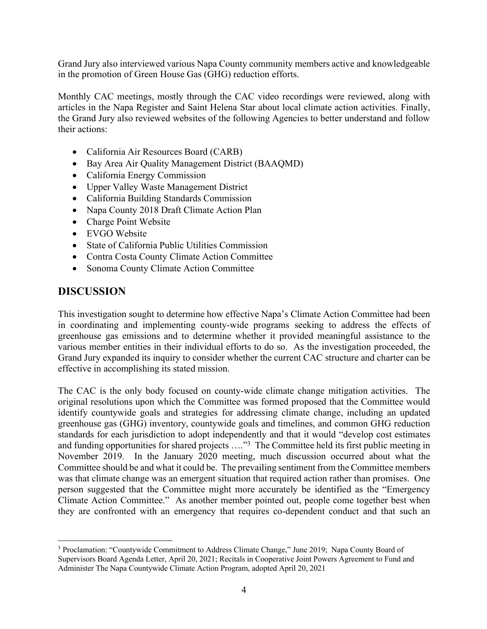Grand Jury also interviewed various Napa County community members active and knowledgeable in the promotion of Green House Gas (GHG) reduction efforts.

Monthly CAC meetings, mostly through the CAC video recordings were reviewed, along with articles in the Napa Register and Saint Helena Star about local climate action activities. Finally, the Grand Jury also reviewed websites of the following Agencies to better understand and follow their actions:

- California Air Resources Board (CARB)
- Bay Area Air Quality Management District (BAAQMD)
- California Energy Commission
- Upper Valley Waste Management District
- California Building Standards Commission
- Napa County 2018 Draft Climate Action Plan
- Charge Point Website
- EVGO Website
- State of California Public Utilities Commission
- Contra Costa County Climate Action Committee
- Sonoma County Climate Action Committee

#### **DISCUSSION**

This investigation sought to determine how effective Napa's Climate Action Committee had been in coordinating and implementing county-wide programs seeking to address the effects of greenhouse gas emissions and to determine whether it provided meaningful assistance to the various member entities in their individual efforts to do so. As the investigation proceeded, the Grand Jury expanded its inquiry to consider whether the current CAC structure and charter can be effective in accomplishing its stated mission.

The CAC is the only body focused on county-wide climate change mitigation activities. The original resolutions upon which the Committee was formed proposed that the Committee would identify countywide goals and strategies for addressing climate change, including an updated greenhouse gas (GHG) inventory, countywide goals and timelines, and common GHG reduction standards for each jurisdiction to adopt independently and that it would "develop cost estimates and funding opportunities for shared projects ...."<sup>3</sup> The Committee held its first public meeting in November 2019. In the January 2020 meeting, much discussion occurred about what the Committee should be and what it could be. The prevailing sentiment from the Committee members was that climate change was an emergent situation that required action rather than promises. One person suggested that the Committee might more accurately be identified as the "Emergency Climate Action Committee." As another member pointed out, people come together best when they are confronted with an emergency that requires co-dependent conduct and that such an

<sup>&</sup>lt;sup>3</sup> Proclamation: "Countywide Commitment to Address Climate Change," June 2019; Napa County Board of Supervisors Board Agenda Letter, April 20, 2021; Recitals in Cooperative Joint Powers Agreement to Fund and Administer The Napa Countywide Climate Action Program, adopted April 20, 2021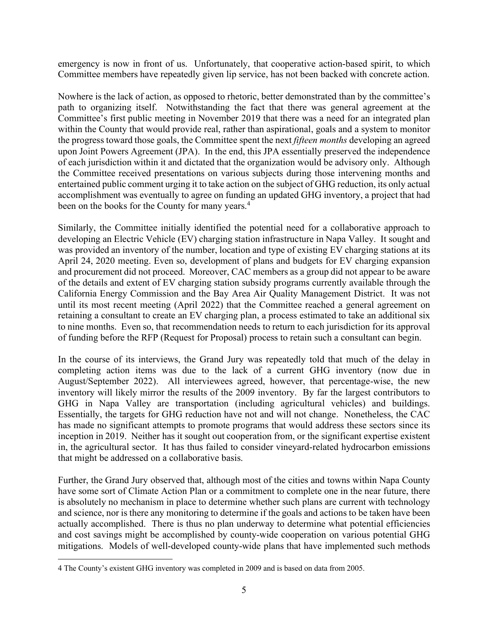emergency is now in front of us. Unfortunately, that cooperative action-based spirit, to which Committee members have repeatedly given lip service, has not been backed with concrete action.

Nowhere is the lack of action, as opposed to rhetoric, better demonstrated than by the committee's path to organizing itself. Notwithstanding the fact that there was general agreement at the Committee's first public meeting in November 2019 that there was a need for an integrated plan within the County that would provide real, rather than aspirational, goals and a system to monitor the progress toward those goals, the Committee spent the next *fifteen months* developing an agreed upon Joint Powers Agreement (JPA). In the end, this JPA essentially preserved the independence of each jurisdiction within it and dictated that the organization would be advisory only. Although the Committee received presentations on various subjects during those intervening months and entertained public comment urging it to take action on the subject of GHG reduction, its only actual accomplishment was eventually to agree on funding an updated GHG inventory, a project that had been on the books for the County for many years.<sup>4</sup>

Similarly, the Committee initially identified the potential need for a collaborative approach to developing an Electric Vehicle (EV) charging station infrastructure in Napa Valley. It sought and was provided an inventory of the number, location and type of existing EV charging stations at its April 24, 2020 meeting. Even so, development of plans and budgets for EV charging expansion and procurement did not proceed. Moreover, CAC members as a group did not appear to be aware of the details and extent of EV charging station subsidy programs currently available through the California Energy Commission and the Bay Area Air Quality Management District. It was not until its most recent meeting (April 2022) that the Committee reached a general agreement on retaining a consultant to create an EV charging plan, a process estimated to take an additional six to nine months. Even so, that recommendation needs to return to each jurisdiction for its approval of funding before the RFP (Request for Proposal) process to retain such a consultant can begin.

In the course of its interviews, the Grand Jury was repeatedly told that much of the delay in completing action items was due to the lack of a current GHG inventory (now due in August/September 2022). All interviewees agreed, however, that percentage-wise, the new inventory will likely mirror the results of the 2009 inventory. By far the largest contributors to GHG in Napa Valley are transportation (including agricultural vehicles) and buildings. Essentially, the targets for GHG reduction have not and will not change. Nonetheless, the CAC has made no significant attempts to promote programs that would address these sectors since its inception in 2019. Neither has it sought out cooperation from, or the significant expertise existent in, the agricultural sector. It has thus failed to consider vineyard-related hydrocarbon emissions that might be addressed on a collaborative basis.

Further, the Grand Jury observed that, although most of the cities and towns within Napa County have some sort of Climate Action Plan or a commitment to complete one in the near future, there is absolutely no mechanism in place to determine whether such plans are current with technology and science, nor is there any monitoring to determine if the goals and actions to be taken have been actually accomplished. There is thus no plan underway to determine what potential efficiencies and cost savings might be accomplished by county-wide cooperation on various potential GHG mitigations. Models of well-developed county-wide plans that have implemented such methods

<sup>4</sup> The County's existent GHG inventory was completed in 2009 and is based on data from 2005.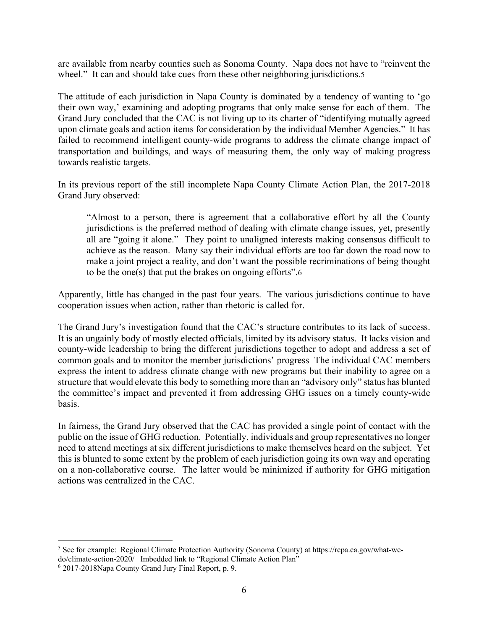are available from nearby counties such as Sonoma County. Napa does not have to "reinvent the wheel." It can and should take cues from these other neighboring jurisdictions.5

The attitude of each jurisdiction in Napa County is dominated by a tendency of wanting to 'go their own way,' examining and adopting programs that only make sense for each of them. The Grand Jury concluded that the CAC is not living up to its charter of "identifying mutually agreed upon climate goals and action items for consideration by the individual Member Agencies." It has failed to recommend intelligent county-wide programs to address the climate change impact of transportation and buildings, and ways of measuring them, the only way of making progress towards realistic targets.

In its previous report of the still incomplete Napa County Climate Action Plan, the 2017-2018 Grand Jury observed:

"Almost to a person, there is agreement that a collaborative effort by all the County jurisdictions is the preferred method of dealing with climate change issues, yet, presently all are "going it alone." They point to unaligned interests making consensus difficult to achieve as the reason. Many say their individual efforts are too far down the road now to make a joint project a reality, and don't want the possible recriminations of being thought to be the one(s) that put the brakes on ongoing efforts".6

Apparently, little has changed in the past four years. The various jurisdictions continue to have cooperation issues when action, rather than rhetoric is called for.

The Grand Jury's investigation found that the CAC's structure contributes to its lack of success. It is an ungainly body of mostly elected officials, limited by its advisory status. It lacks vision and county-wide leadership to bring the different jurisdictions together to adopt and address a set of common goals and to monitor the member jurisdictions' progress The individual CAC members express the intent to address climate change with new programs but their inability to agree on a structure that would elevate this body to something more than an "advisory only" status has blunted the committee's impact and prevented it from addressing GHG issues on a timely county-wide basis.

In fairness, the Grand Jury observed that the CAC has provided a single point of contact with the public on the issue of GHG reduction. Potentially, individuals and group representatives no longer need to attend meetings at six different jurisdictions to make themselves heard on the subject. Yet this is blunted to some extent by the problem of each jurisdiction going its own way and operating on a non-collaborative course. The latter would be minimized if authority for GHG mitigation actions was centralized in the CAC.

<sup>5</sup> See for example: Regional Climate Protection Authority (Sonoma County) at https://rcpa.ca.gov/what-wedo/climate-action-2020/ Imbedded link to "Regional Climate Action Plan"

<sup>6</sup> 2017-2018Napa County Grand Jury Final Report, p. 9.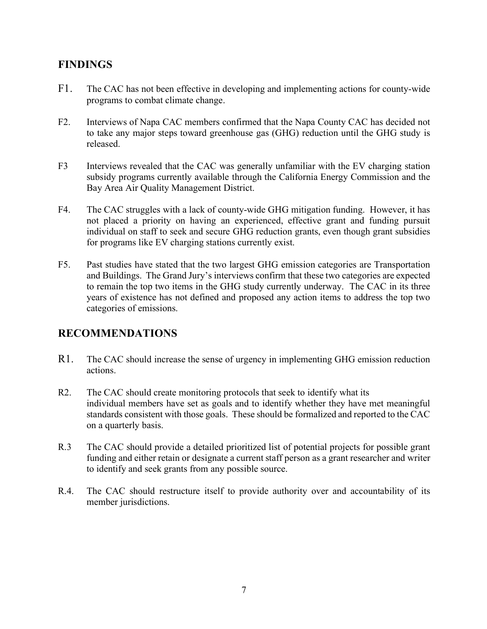## **FINDINGS**

- F1. The CAC has not been effective in developing and implementing actions for county-wide programs to combat climate change.
- F2. Interviews of Napa CAC members confirmed that the Napa County CAC has decided not to take any major steps toward greenhouse gas (GHG) reduction until the GHG study is released.
- F3 Interviews revealed that the CAC was generally unfamiliar with the EV charging station subsidy programs currently available through the California Energy Commission and the Bay Area Air Quality Management District.
- F4. The CAC struggles with a lack of county-wide GHG mitigation funding. However, it has not placed a priority on having an experienced, effective grant and funding pursuit individual on staff to seek and secure GHG reduction grants, even though grant subsidies for programs like EV charging stations currently exist.
- F5. Past studies have stated that the two largest GHG emission categories are Transportation and Buildings. The Grand Jury's interviews confirm that these two categories are expected to remain the top two items in the GHG study currently underway. The CAC in its three years of existence has not defined and proposed any action items to address the top two categories of emissions.

### **RECOMMENDATIONS**

- R1. The CAC should increase the sense of urgency in implementing GHG emission reduction actions.
- R2. The CAC should create monitoring protocols that seek to identify what its individual members have set as goals and to identify whether they have met meaningful standards consistent with those goals. These should be formalized and reported to the CAC on a quarterly basis.
- R.3 The CAC should provide a detailed prioritized list of potential projects for possible grant funding and either retain or designate a current staff person as a grant researcher and writer to identify and seek grants from any possible source.
- R.4. The CAC should restructure itself to provide authority over and accountability of its member jurisdictions.